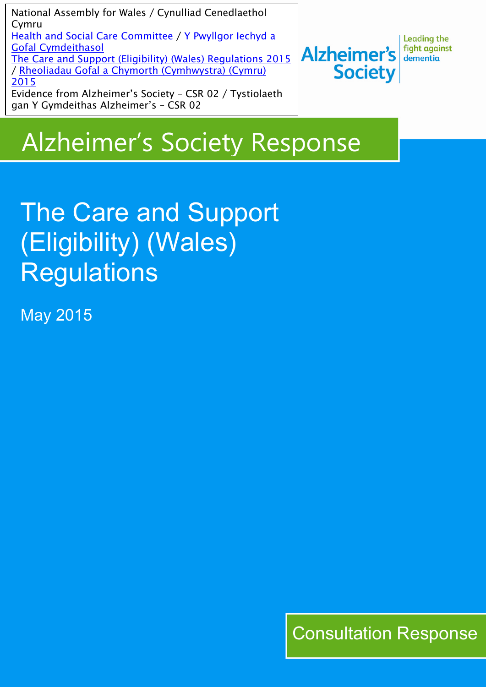National Assembly for Wales / Cynulliad Cenedlaethol Cymru Health and Social Care [Committee](http://www.senedd.assembly.wales/mgCommitteeDetails.aspx?ID=227) / Y [Pwyllgor](http://www.senedd.cynulliad.cymru/mgCommitteeDetails.aspx?ID=227) Iechyd a Gofal [Cymdeithasol](http://www.senedd.cynulliad.cymru/mgCommitteeDetails.aspx?ID=227) The Care and Support (Eligibility) (Wales) [Regulations](http://www.senedd.assembly.wales/mgConsultationDisplay.aspx?ID=177) 2015 / Rheoliadau Gofal a Chymorth [\(Cymhwystra\)](http://www.senedd.cynulliad.cymru/mgConsultationDisplay.aspx?ID=177) (Cymru) [2015](http://www.senedd.cynulliad.cymru/mgConsultationDisplay.aspx?ID=177) Evidence from Alzheimer's Society – CSR 02 / Tystiolaeth gan Y Gymdeithas Alzheimer's – CSR 02

**Leading the** fight against **Alzheimer's** dementia **Society** 

## Alzheimer's Society Response

## The Care and Support (Eligibility) (Wales) **Regulations**

May 2015

Consultation Response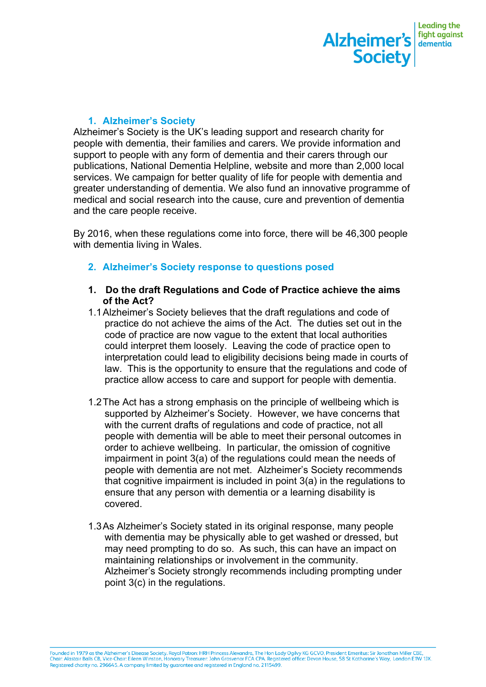

## **1. Alzheimer's Society**

Alzheimer's Society is the UK's leading support and research charity for people with dementia, their families and carers. We provide information and support to people with any form of dementia and their carers through our publications, National Dementia Helpline, website and more than 2,000 local services. We campaign for better quality of life for people with dementia and greater understanding of dementia. We also fund an innovative programme of medical and social research into the cause, cure and prevention of dementia and the care people receive.

By 2016, when these regulations come into force, there will be 46,300 people with dementia living in Wales.

- **2. Alzheimer's Society response to questions posed**
- **1. Do the draft Regulations and Code of Practice achieve the aims of the Act?**
- 1.1Alzheimer's Society believes that the draft regulations and code of practice do not achieve the aims of the Act. The duties set out in the code of practice are now vague to the extent that local authorities could interpret them loosely. Leaving the code of practice open to interpretation could lead to eligibility decisions being made in courts of law. This is the opportunity to ensure that the regulations and code of practice allow access to care and support for people with dementia.
- 1.2The Act has a strong emphasis on the principle of wellbeing which is supported by Alzheimer's Society. However, we have concerns that with the current drafts of regulations and code of practice, not all people with dementia will be able to meet their personal outcomes in order to achieve wellbeing. In particular, the omission of cognitive impairment in point 3(a) of the regulations could mean the needs of people with dementia are not met. Alzheimer's Society recommends that cognitive impairment is included in point 3(a) in the regulations to ensure that any person with dementia or a learning disability is covered.
- 1.3As Alzheimer's Society stated in its original response, many people with dementia may be physically able to get washed or dressed, but may need prompting to do so. As such, this can have an impact on maintaining relationships or involvement in the community. Alzheimer's Society strongly recommends including prompting under point 3(c) in the regulations.

Founded in 1979 as the Alzheimer's Disease Society. Royal Patron: HRH Princess Alexandra, The Hon Lady Ogilvy KG GCVO, President Emeritus: Sir Jonathan Miller CBE,<br>Chair: Alastair Balls CB, Vice-Chair: Eileen Winston, Hono Registered charity no. 296645. A company limited by guarantee and registered in England no. 2115499.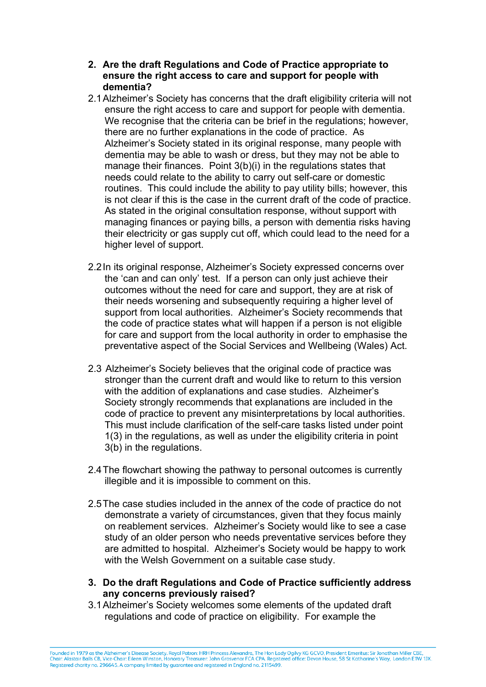- **2. Are the draft Regulations and Code of Practice appropriate to ensure the right access to care and support for people with dementia?**
- 2.1Alzheimer's Society has concerns that the draft eligibility criteria will not ensure the right access to care and support for people with dementia. We recognise that the criteria can be brief in the regulations; however, there are no further explanations in the code of practice. As Alzheimer's Society stated in its original response, many people with dementia may be able to wash or dress, but they may not be able to manage their finances. Point 3(b)(i) in the regulations states that needs could relate to the ability to carry out self-care or domestic routines. This could include the ability to pay utility bills; however, this is not clear if this is the case in the current draft of the code of practice. As stated in the original consultation response, without support with managing finances or paying bills, a person with dementia risks having their electricity or gas supply cut off, which could lead to the need for a higher level of support.
- 2.2In its original response, Alzheimer's Society expressed concerns over the 'can and can only' test. If a person can only just achieve their outcomes without the need for care and support, they are at risk of their needs worsening and subsequently requiring a higher level of support from local authorities. Alzheimer's Society recommends that the code of practice states what will happen if a person is not eligible for care and support from the local authority in order to emphasise the preventative aspect of the Social Services and Wellbeing (Wales) Act.
- 2.3 Alzheimer's Society believes that the original code of practice was stronger than the current draft and would like to return to this version with the addition of explanations and case studies. Alzheimer's Society strongly recommends that explanations are included in the code of practice to prevent any misinterpretations by local authorities. This must include clarification of the self-care tasks listed under point 1(3) in the regulations, as well as under the eligibility criteria in point 3(b) in the regulations.
- 2.4The flowchart showing the pathway to personal outcomes is currently illegible and it is impossible to comment on this.
- 2.5The case studies included in the annex of the code of practice do not demonstrate a variety of circumstances, given that they focus mainly on reablement services. Alzheimer's Society would like to see a case study of an older person who needs preventative services before they are admitted to hospital. Alzheimer's Society would be happy to work with the Welsh Government on a suitable case study.
- **3. Do the draft Regulations and Code of Practice sufficiently address any concerns previously raised?**
- 3.1Alzheimer's Society welcomes some elements of the updated draft regulations and code of practice on eligibility. For example the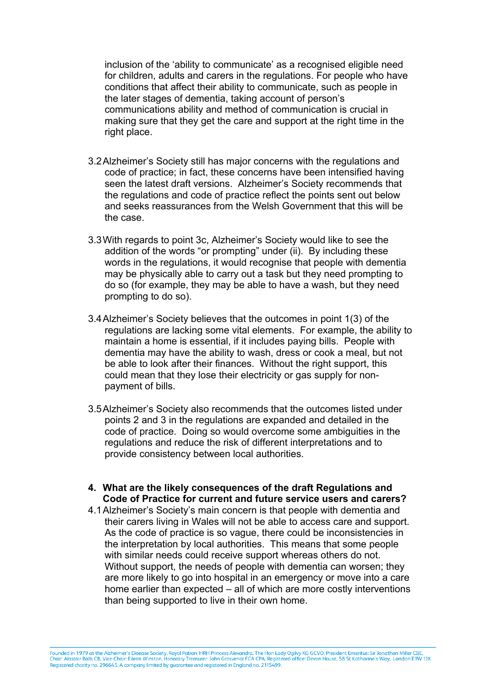inclusion of the 'ability to communicate' as a recognised eligible need for children, adults and carers in the regulations. For people who have conditions that affect their ability to communicate, such as people in the later stages of dementia, taking account of person's communications ability and method of communication is crucial in making sure that they get the care and support at the right time in the right place.

- 3.2Alzheimer's Society still has major concerns with the regulations and code of practice; in fact, these concerns have been intensified having seen the latest draft versions. Alzheimer's Society recommends that the regulations and code of practice reflect the points sent out below and seeks reassurances from the Welsh Government that this will be the case.
- 3.3With regards to point 3c, Alzheimer's Society would like to see the addition of the words "or prompting" under (ii). By including these words in the regulations, it would recognise that people with dementia may be physically able to carry out a task but they need prompting to do so (for example, they may be able to have a wash, but they need prompting to do so).
- 3.4Alzheimer's Society believes that the outcomes in point 1(3) of the regulations are lacking some vital elements. For example, the ability to maintain a home is essential, if it includes paying bills. People with dementia may have the ability to wash, dress or cook a meal, but not be able to look after their finances. Without the right support, this could mean that they lose their electricity or gas supply for nonpayment of bills.
- 3.5Alzheimer's Society also recommends that the outcomes listed under points 2 and 3 in the regulations are expanded and detailed in the code of practice. Doing so would overcome some ambiguities in the regulations and reduce the risk of different interpretations and to provide consistency between local authorities.
- **4. What are the likely consequences of the draft Regulations and Code of Practice for current and future service users and carers?**
- 4.1Alzheimer's Society's main concern is that people with dementia and their carers living in Wales will not be able to access care and support. As the code of practice is so vague, there could be inconsistencies in the interpretation by local authorities. This means that some people with similar needs could receive support whereas others do not. Without support, the needs of people with dementia can worsen; they are more likely to go into hospital in an emergency or move into a care home earlier than expected – all of which are more costly interventions than being supported to live in their own home.

Founded in 1979 as the Alzheimer's Disease Society. Royal Patron: HRH Princess Alexandra, The Hon Lady Ogilvy KG GCVO, President Emeritus: Sir Jonathan Miller CBE,<br>Chair: Alastair Balls CB, Vice-Chair: Eileen Winston, Hono Registered charity no. 296645. A company limited by guarantee and registered in England no. 2115499.